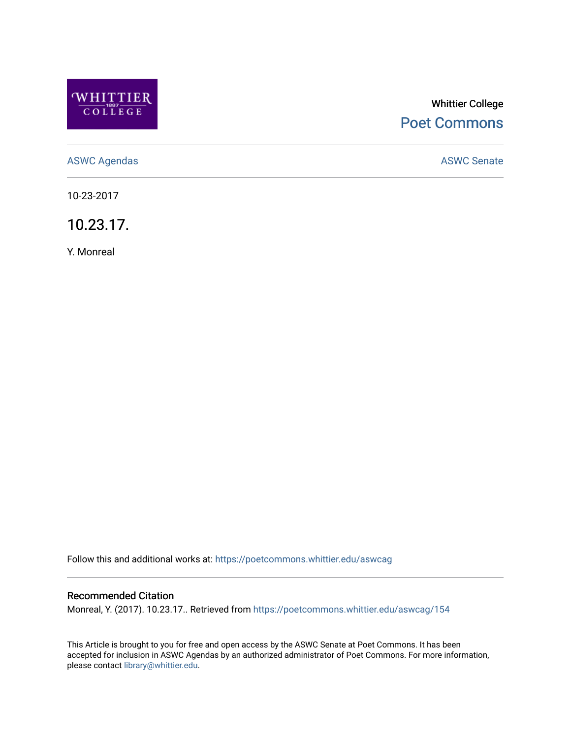

# Whittier College [Poet Commons](https://poetcommons.whittier.edu/)

[ASWC Agendas](https://poetcommons.whittier.edu/aswcag) **ASWC Senate** 

10-23-2017

10.23.17.

Y. Monreal

Follow this and additional works at: [https://poetcommons.whittier.edu/aswcag](https://poetcommons.whittier.edu/aswcag?utm_source=poetcommons.whittier.edu%2Faswcag%2F154&utm_medium=PDF&utm_campaign=PDFCoverPages) 

# Recommended Citation

Monreal, Y. (2017). 10.23.17.. Retrieved from [https://poetcommons.whittier.edu/aswcag/154](https://poetcommons.whittier.edu/aswcag/154?utm_source=poetcommons.whittier.edu%2Faswcag%2F154&utm_medium=PDF&utm_campaign=PDFCoverPages) 

This Article is brought to you for free and open access by the ASWC Senate at Poet Commons. It has been accepted for inclusion in ASWC Agendas by an authorized administrator of Poet Commons. For more information, please contact [library@whittier.edu](mailto:library@whittier.edu).